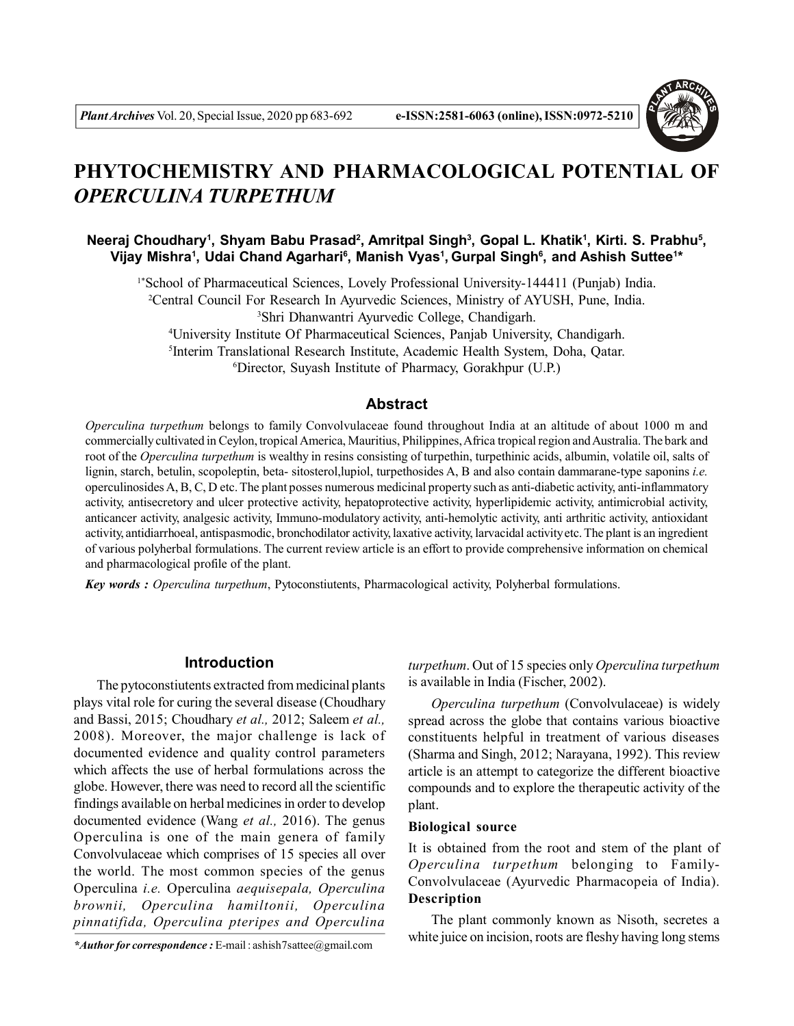

# **PHYTOCHEMISTRY AND PHARMACOLOGICAL POTENTIAL OF** *OPERCULINA TURPETHUM*

**Neeraj Choudhary<sup>1</sup> , Shyam Babu Prasad<sup>2</sup> , Amritpal Singh<sup>3</sup> , Gopal L. Khatik<sup>1</sup> , Kirti. S. Prabhu<sup>5</sup> , Vijay Mishra<sup>1</sup> , Udai Chand Agarhari<sup>6</sup> , Manish Vyas<sup>1</sup> , Gurpal Singh<sup>6</sup> , and Ashish Suttee<sup>1</sup> \***

1\*School of Pharmaceutical Sciences, Lovely Professional University-144411 (Punjab) India.

<sup>2</sup>Central Council For Research In Ayurvedic Sciences, Ministry of AYUSH, Pune, India.

<sup>3</sup>Shri Dhanwantri Ayurvedic College, Chandigarh.

<sup>4</sup>University Institute Of Pharmaceutical Sciences, Panjab University, Chandigarh. 5 Interim Translational Research Institute, Academic Health System, Doha, Qatar.

<sup>6</sup>Director, Suyash Institute of Pharmacy, Gorakhpur (U.P.)

## **Abstract**

*Operculina turpethum* belongs to family Convolvulaceae found throughout India at an altitude of about 1000 m and commercially cultivated in Ceylon, tropical America, Mauritius, Philippines, Africa tropical region and Australia. The bark and root of the *Operculina turpethum* is wealthy in resins consisting of turpethin, turpethinic acids, albumin, volatile oil, salts of lignin, starch, betulin, scopoleptin, beta- sitosterol,lupiol, turpethosides A, B and also contain dammarane-type saponins *i.e.* operculinosides A, B, C, D etc. The plant posses numerous medicinal property such as anti-diabetic activity, anti-inflammatory activity, antisecretory and ulcer protective activity, hepatoprotective activity, hyperlipidemic activity, antimicrobial activity, anticancer activity, analgesic activity, Immuno-modulatory activity, anti-hemolytic activity, anti arthritic activity, antioxidant activity, antidiarrhoeal, antispasmodic, bronchodilator activity, laxative activity, larvacidal activity etc. The plant is an ingredient of various polyherbal formulations. The current review article is an effort to provide comprehensive information on chemical and pharmacological profile of the plant.

*Key words : Operculina turpethum*, Pytoconstiutents, Pharmacological activity, Polyherbal formulations.

# **Introduction**

The pytoconstiutents extracted from medicinal plants plays vital role for curing the several disease (Choudhary and Bassi, 2015; Choudhary *et al.,* 2012; Saleem *et al.,* 2008). Moreover, the major challenge is lack of documented evidence and quality control parameters which affects the use of herbal formulations across the globe. However, there was need to record all the scientific findings available on herbal medicines in order to develop documented evidence (Wang *et al.,* 2016). The genus Operculina is one of the main genera of family Convolvulaceae which comprises of 15 species all over the world. The most common species of the genus Operculina *i.e.* Operculina *aequisepala, Operculina brownii, Operculina hamiltonii, Operculina pinnatifida, Operculina pteripes and Operculina*

*\*Author for correspondence :* E-mail : ashish7sattee@gmail.com

*turpethum*. Out of 15 species only *Operculina turpethum* is available in India (Fischer, 2002).

*Operculina turpethum* (Convolvulaceae) is widely spread across the globe that contains various bioactive constituents helpful in treatment of various diseases (Sharma and Singh, 2012; Narayana, 1992). This review article is an attempt to categorize the different bioactive compounds and to explore the therapeutic activity of the plant.

## **Biological source**

It is obtained from the root and stem of the plant of *Operculina turpethum* belonging to Family-Convolvulaceae (Ayurvedic Pharmacopeia of India). **Description**

The plant commonly known as Nisoth, secretes a white juice on incision, roots are fleshy having long stems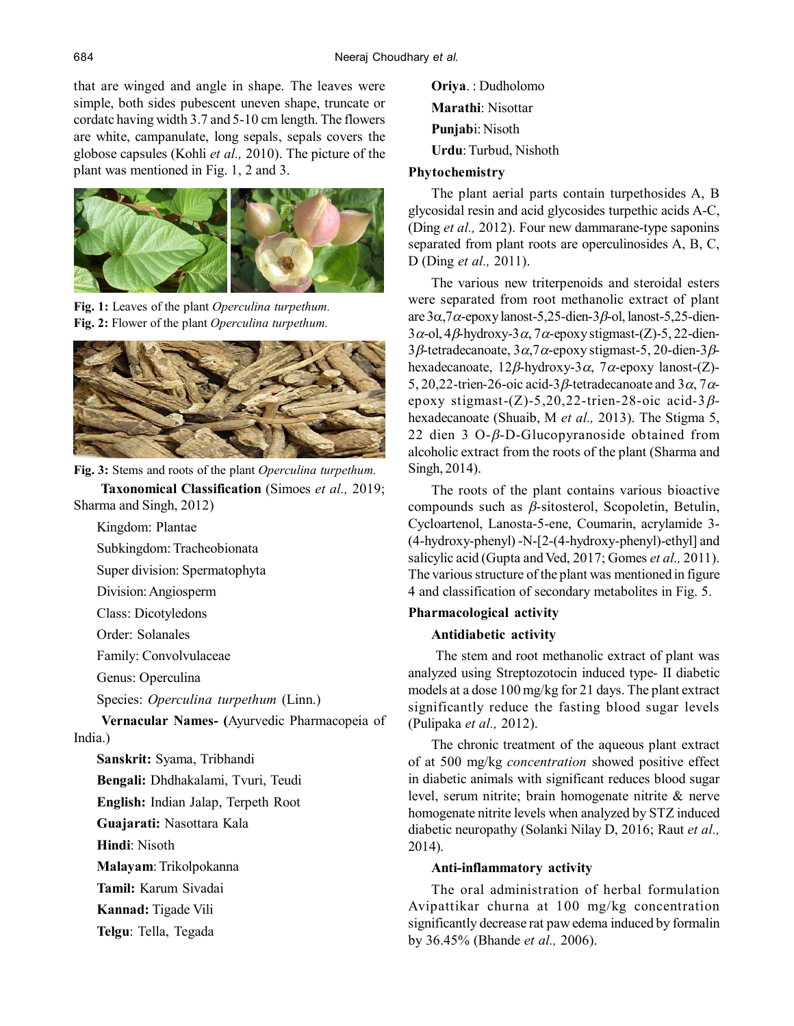that are winged and angle in shape. The leaves were simple, both sides pubescent uneven shape, truncate or cordatc having width 3.7 and 5-10 cm length. The flowers are white, campanulate, long sepals, sepals covers the globose capsules (Kohli *et al.,* 2010). The picture of the plant was mentioned in Fig. 1, 2 and 3.



**Fig. 1:** Leaves of the plant *Operculina turpethum.* **Fig. 2:** Flower of the plant *Operculina turpethum.*



**Fig. 3:** Stems and roots of the plant *Operculina turpethum.*  **Taxonomical Classification** (Simoes *et al.,* 2019; Sharma and Singh, 2012)

Kingdom: Plantae

Subkingdom: Tracheobionata

Super division: Spermatophyta

Division: Angiosperm

Class: Dicotyledons

Order: Solanales

Family: Convolvulaceae

Genus: Operculina

Species: *Operculina turpethum* (Linn.)

 **Vernacular Names- (**Ayurvedic Pharmacopeia of India.)

**Sanskrit:** Syama, Tribhandi

**Bengali:** Dhdhakalami, Tvuri, Teudi

**English:** Indian Jalap, Terpeth Root

**Guajarati:** Nasottara Kala

**Hindi**: Nisoth

**Malayam**: Trikolpokanna

**Tamil:** Karum Sivadai

**Kannad:** Tigade Vili

**Telgu**: Tella, Tegada

**Oriya**. : Dudholomo **Marathi**: Nisottar **Punjab**i: Nisoth **Urdu**: Turbud, Nishoth

# **Phytochemistry**

The plant aerial parts contain turpethosides A, B glycosidal resin and acid glycosides turpethic acids A-C, (Ding *et al.,* 2012). Four new dammarane-type saponins separated from plant roots are operculinosides A, B, C, D (Ding *et al.,* 2011).

The various new triterpenoids and steroidal esters were separated from root methanolic extract of plant are  $3\alpha$ ,7 $\alpha$ -epoxy lanost-5,25-dien-3 $\beta$ -ol, lanost-5,25-dien- $3\alpha$ -ol,  $4\beta$ -hydroxy- $3\alpha$ ,  $7\alpha$ -epoxy stigmast-(Z)-5, 22-dien- $3\beta$ -tetradecanoate,  $3\alpha$ ,  $7\alpha$ -epoxy stigmast-5, 20-dien-3 $\beta$ hexadecanoate,  $12\beta$ -hydroxy-3 $\alpha$ , 7 $\alpha$ -epoxy lanost-(Z)-5, 20, 22-trien-26-oic acid-3 $\beta$ -tetradecanoate and 3 $\alpha$ , 7 $\alpha$ epoxy stigmast- $(Z)$ -5,20,22-trien-28-oic acid-3 $\beta$ hexadecanoate (Shuaib, M *et al.,* 2013). The Stigma 5, 22 dien 3 O- $\beta$ -D-Glucopyranoside obtained from alcoholic extract from the roots of the plant (Sharma and Singh, 2014).

The roots of the plant contains various bioactive compounds such as  $\beta$ -sitosterol, Scopoletin, Betulin, Cycloartenol, Lanosta-5-ene, Coumarin, acrylamide 3- (4-hydroxy-phenyl) -N-[2-(4-hydroxy-phenyl)-ethyl] and salicylic acid (Gupta and Ved, 2017; Gomes *et al.,* 2011). The various structure of the plant was mentioned in figure 4 and classification of secondary metabolites in Fig. 5.

# **Pharmacological activity**

# **Antidiabetic activity**

 The stem and root methanolic extract of plant was analyzed using Streptozotocin induced type- II diabetic models at a dose 100 mg/kg for 21 days. The plant extract significantly reduce the fasting blood sugar levels (Pulipaka *et al.,* 2012).

The chronic treatment of the aqueous plant extract of at 500 mg/kg *concentration* showed positive effect in diabetic animals with significant reduces blood sugar level, serum nitrite; brain homogenate nitrite & nerve homogenate nitrite levels when analyzed by STZ induced diabetic neuropathy (Solanki Nilay D, 2016; Raut *et al.,* 2014).

# **Anti-inflammatory activity**

The oral administration of herbal formulation Avipattikar churna at 100 mg/kg concentration significantly decrease rat paw edema induced by formalin by 36.45% (Bhande *et al.,* 2006).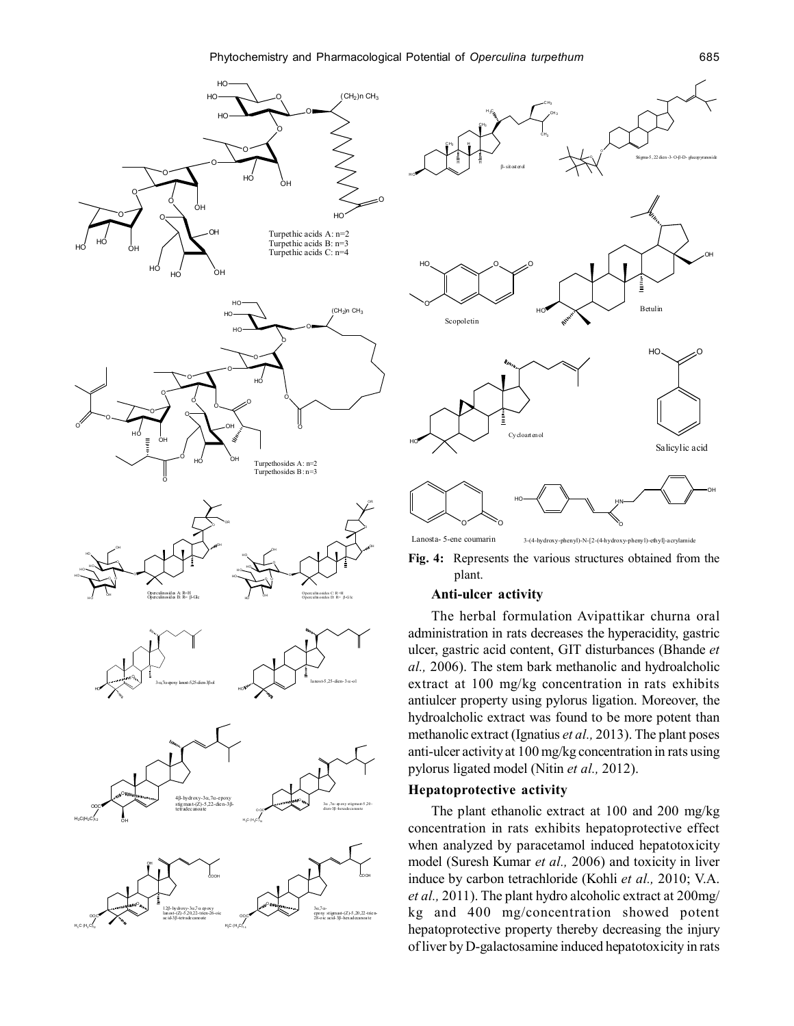



**Fig. 4:** Represents the various structures obtained from the plant.

## **Anti-ulcer activity**

The herbal formulation Avipattikar churna oral administration in rats decreases the hyperacidity, gastric ulcer, gastric acid content, GIT disturbances (Bhande *et al.,* 2006). The stem bark methanolic and hydroalcholic extract at 100 mg/kg concentration in rats exhibits antiulcer property using pylorus ligation. Moreover, the hydroalcholic extract was found to be more potent than methanolic extract (Ignatius *et al.,* 2013). The plant poses anti-ulcer activity at 100 mg/kg concentration in rats using pylorus ligated model (Nitin *et al.,* 2012).

# **Hepatoprotective activity**

The plant ethanolic extract at 100 and 200 mg/kg concentration in rats exhibits hepatoprotective effect when analyzed by paracetamol induced hepatotoxicity model (Suresh Kumar *et al.,* 2006) and toxicity in liver induce by carbon tetrachloride (Kohli *et al.,* 2010; V.A. *et al.,* 2011). The plant hydro alcoholic extract at 200mg/ kg and 400 mg/concentration showed potent hepatoprotective property thereby decreasing the injury of liver by D-galactosamine induced hepatotoxicity in rats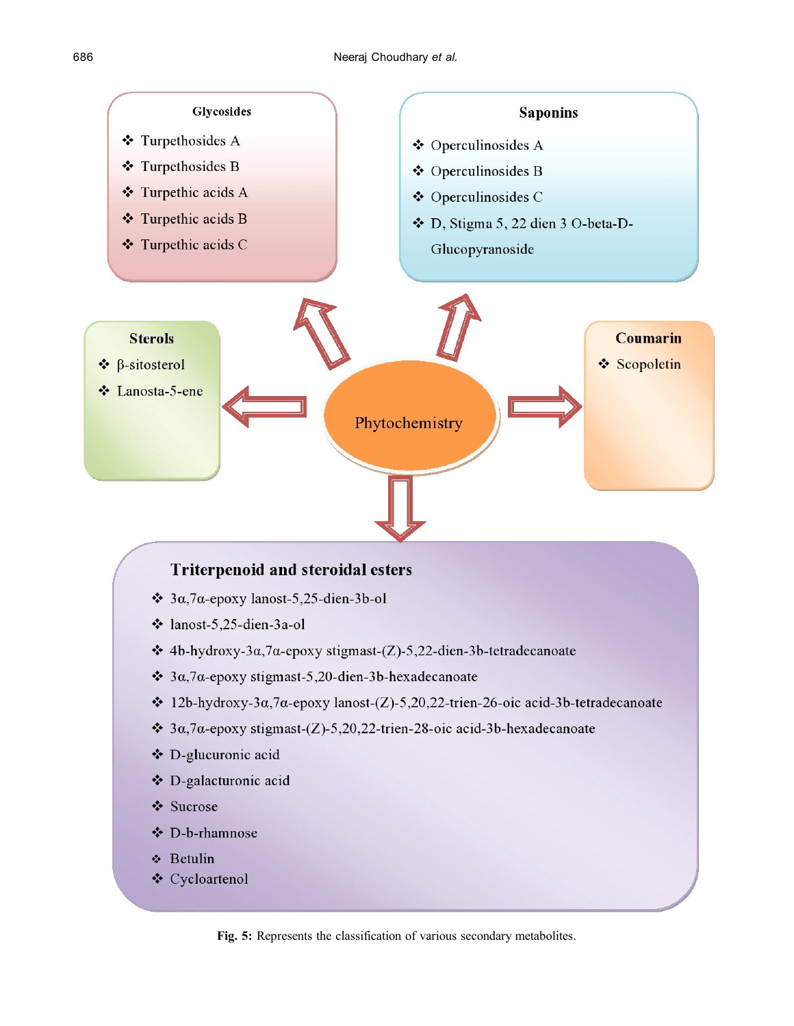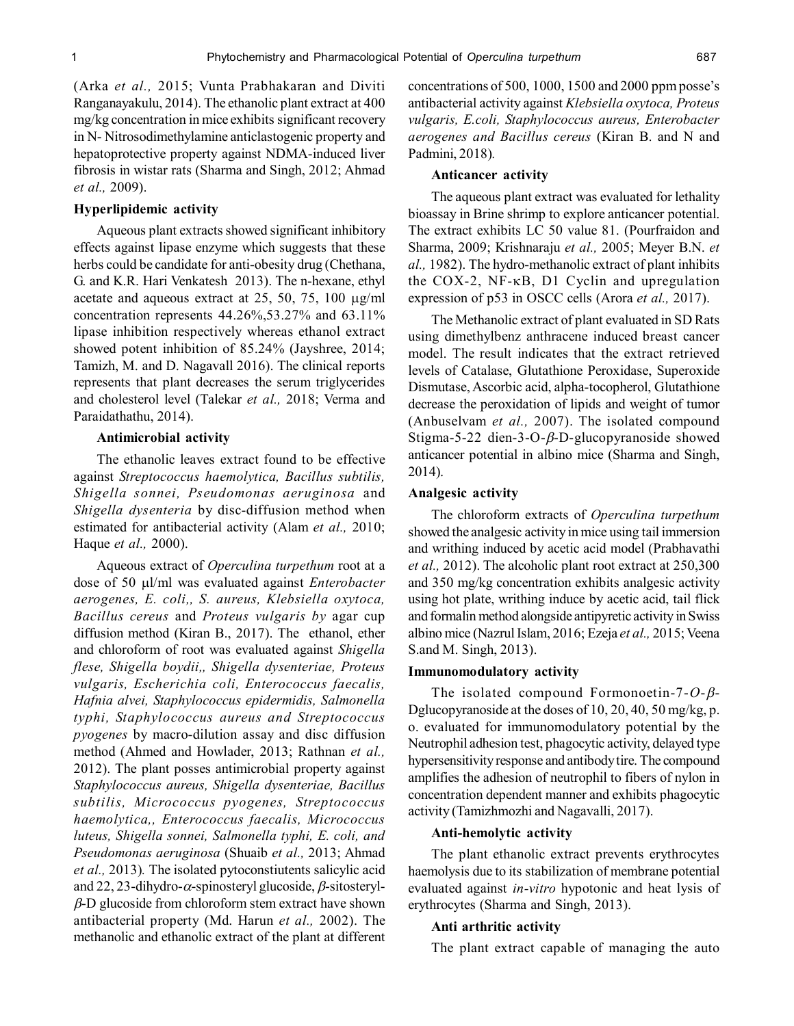(Arka *et al.,* 2015; Vunta Prabhakaran and Diviti Ranganayakulu, 2014). The ethanolic plant extract at 400 mg/kg concentration in mice exhibits significant recovery in N- Nitrosodimethylamine anticlastogenic property and hepatoprotective property against NDMA-induced liver fibrosis in wistar rats (Sharma and Singh, 2012; Ahmad *et al.,* 2009).

#### **Hyperlipidemic activity**

Aqueous plant extracts showed significant inhibitory effects against lipase enzyme which suggests that these herbs could be candidate for anti-obesity drug (Chethana, G. and K.R. Hari Venkatesh 2013). The n-hexane, ethyl acetate and aqueous extract at 25, 50, 75, 100  $\mu$ g/ml concentration represents 44.26%,53.27% and 63.11% lipase inhibition respectively whereas ethanol extract showed potent inhibition of 85.24% (Jayshree, 2014; Tamizh, M. and D. Nagavall 2016). The clinical reports represents that plant decreases the serum triglycerides and cholesterol level (Talekar *et al.,* 2018; Verma and Paraidathathu, 2014).

#### **Antimicrobial activity**

The ethanolic leaves extract found to be effective against *Streptococcus haemolytica, Bacillus subtilis, Shigella sonnei, Pseudomonas aeruginosa* and *Shigella dysenteria* by disc-diffusion method when estimated for antibacterial activity (Alam *et al.,* 2010; Haque *et al.,* 2000).

Aqueous extract of *Operculina turpethum* root at a dose of 50 μl/ml was evaluated against *Enterobacter aerogenes, E. coli,, S. aureus, Klebsiella oxytoca, Bacillus cereus* and *Proteus vulgaris by* agar cup diffusion method (Kiran B., 2017). The ethanol, ether and chloroform of root was evaluated against *Shigella flese, Shigella boydii,, Shigella dysenteriae, Proteus vulgaris, Escherichia coli, Enterococcus faecalis, Hafnia alvei, Staphylococcus epidermidis, Salmonella typhi, Staphylococcus aureus and Streptococcus pyogenes* by macro-dilution assay and disc diffusion method (Ahmed and Howlader, 2013; Rathnan *et al.,* 2012). The plant posses antimicrobial property against *Staphylococcus aureus, Shigella dysenteriae, Bacillus subtilis, Micrococcus pyogenes, Streptococcus haemolytica,, Enterococcus faecalis, Micrococcus luteus, Shigella sonnei, Salmonella typhi, E. coli, and Pseudomonas aeruginosa* (Shuaib *et al.,* 2013; Ahmad *et al.,* 2013)*.* The isolated pytoconstiutents salicylic acid and 22, 23-dihydro- $\alpha$ -spinosteryl glucoside,  $\beta$ -sitosteryl- $\beta$ -D glucoside from chloroform stem extract have shown antibacterial property (Md. Harun *et al.,* 2002). The methanolic and ethanolic extract of the plant at different concentrations of 500, 1000, 1500 and 2000 ppm posse's antibacterial activity against *Klebsiella oxytoca, Proteus vulgaris, E.coli, Staphylococcus aureus, Enterobacter aerogenes and Bacillus cereus* (Kiran B. and N and Padmini, 2018)*.*

## **Anticancer activity**

The aqueous plant extract was evaluated for lethality bioassay in Brine shrimp to explore anticancer potential. The extract exhibits LC 50 value 81. (Pourfraidon and Sharma, 2009; Krishnaraju *et al.,* 2005; Meyer B.N. *et al.,* 1982). The hydro-methanolic extract of plant inhibits the COX-2,  $NF-\kappa B$ , D1 Cyclin and upregulation expression of p53 in OSCC cells (Arora *et al.,* 2017).

The Methanolic extract of plant evaluated in SD Rats using dimethylbenz anthracene induced breast cancer model. The result indicates that the extract retrieved levels of Catalase, Glutathione Peroxidase, Superoxide Dismutase, Ascorbic acid, alpha-tocopherol, Glutathione decrease the peroxidation of lipids and weight of tumor (Anbuselvam *et al.,* 2007). The isolated compound Stigma-5-22 dien-3-O- $\beta$ -D-glucopyranoside showed anticancer potential in albino mice (Sharma and Singh, 2014).

#### **Analgesic activity**

The chloroform extracts of *Operculina turpethum* showed the analgesic activity in mice using tail immersion and writhing induced by acetic acid model (Prabhavathi *et al.,* 2012). The alcoholic plant root extract at 250,300 and 350 mg/kg concentration exhibits analgesic activity using hot plate, writhing induce by acetic acid, tail flick and formalin method alongside antipyretic activity in Swiss albino mice (Nazrul Islam, 2016; Ezeja *et al.,* 2015; Veena S.and M. Singh, 2013).

#### **Immunomodulatory activity**

The isolated compound Formonoetin-7- $O-\beta$ -Dglucopyranoside at the doses of 10, 20, 40, 50 mg/kg, p. o. evaluated for immunomodulatory potential by the Neutrophil adhesion test, phagocytic activity, delayed type hypersensitivity response and antibody tire. The compound amplifies the adhesion of neutrophil to fibers of nylon in concentration dependent manner and exhibits phagocytic activity (Tamizhmozhi and Nagavalli, 2017).

## **Anti-hemolytic activity**

The plant ethanolic extract prevents erythrocytes haemolysis due to its stabilization of membrane potential evaluated against *in-vitro* hypotonic and heat lysis of erythrocytes (Sharma and Singh, 2013).

#### **Anti arthritic activity**

The plant extract capable of managing the auto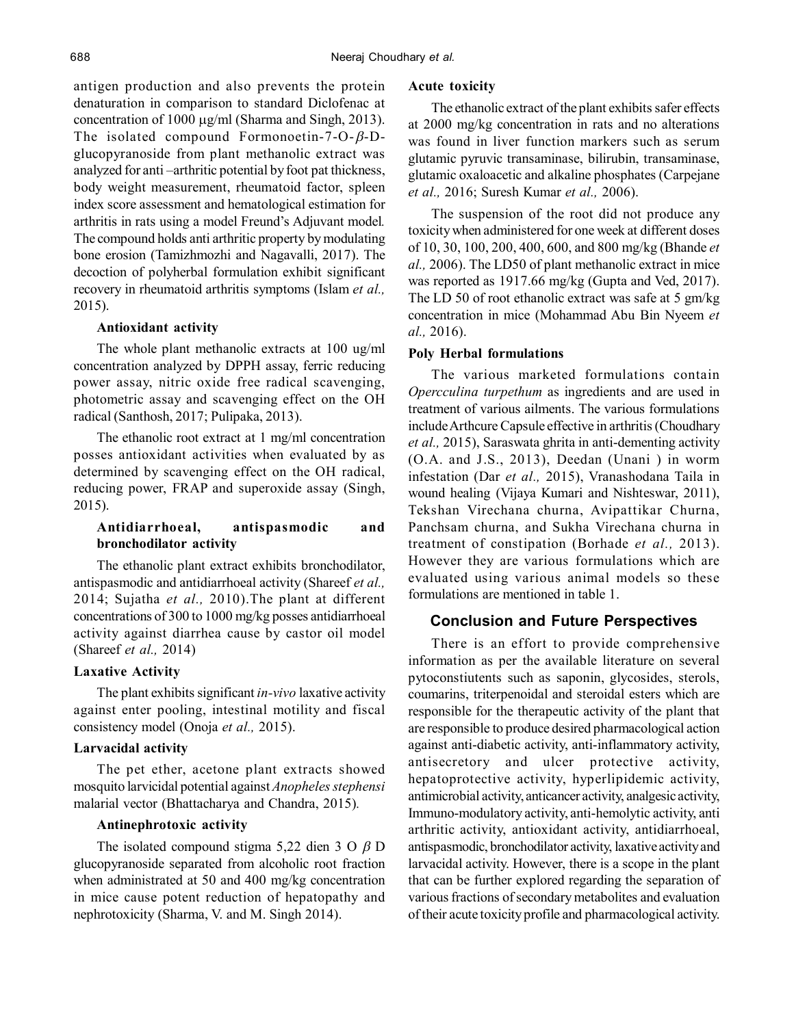antigen production and also prevents the protein denaturation in comparison to standard Diclofenac at concentration of 1000  $\mu$ g/ml (Sharma and Singh, 2013). The isolated compound Formonoetin-7-O- $\beta$ -Dglucopyranoside from plant methanolic extract was analyzed for anti –arthritic potential by foot pat thickness, body weight measurement, rheumatoid factor, spleen index score assessment and hematological estimation for arthritis in rats using a model Freund's Adjuvant model*.* The compound holds anti arthritic property by modulating bone erosion (Tamizhmozhi and Nagavalli, 2017). The decoction of polyherbal formulation exhibit significant recovery in rheumatoid arthritis symptoms (Islam *et al.,* 2015).

### **Antioxidant activity**

The whole plant methanolic extracts at 100 ug/ml concentration analyzed by DPPH assay, ferric reducing power assay, nitric oxide free radical scavenging, photometric assay and scavenging effect on the OH radical (Santhosh, 2017; Pulipaka, 2013).

The ethanolic root extract at 1 mg/ml concentration posses antioxidant activities when evaluated by as determined by scavenging effect on the OH radical, reducing power, FRAP and superoxide assay (Singh, 2015).

# **Antidiarrhoeal, antispasmodic and bronchodilator activity**

The ethanolic plant extract exhibits bronchodilator, antispasmodic and antidiarrhoeal activity (Shareef *et al.,* 2014; Sujatha *et al.,* 2010).The plant at different concentrations of 300 to 1000 mg/kg posses antidiarrhoeal activity against diarrhea cause by castor oil model (Shareef *et al.,* 2014)

#### **Laxative Activity**

The plant exhibits significant *in-vivo* laxative activity against enter pooling, intestinal motility and fiscal consistency model (Onoja *et al.,* 2015).

## **Larvacidal activity**

The pet ether, acetone plant extracts showed mosquito larvicidal potential against *Anopheles stephensi* malarial vector (Bhattacharya and Chandra, 2015)*.*

## **Antinephrotoxic activity**

The isolated compound stigma 5,22 dien 3 O  $\beta$  D glucopyranoside separated from alcoholic root fraction when administrated at 50 and 400 mg/kg concentration in mice cause potent reduction of hepatopathy and nephrotoxicity (Sharma, V. and M. Singh 2014).

#### **Acute toxicity**

The ethanolic extract of the plant exhibits safer effects at 2000 mg/kg concentration in rats and no alterations was found in liver function markers such as serum glutamic pyruvic transaminase, bilirubin, transaminase, glutamic oxaloacetic and alkaline phosphates (Carpejane *et al.,* 2016; Suresh Kumar *et al.,* 2006).

The suspension of the root did not produce any toxicity when administered for one week at different doses of 10, 30, 100, 200, 400, 600, and 800 mg/kg (Bhande *et al.,* 2006). The LD50 of plant methanolic extract in mice was reported as 1917.66 mg/kg (Gupta and Ved, 2017). The LD 50 of root ethanolic extract was safe at 5 gm/kg concentration in mice (Mohammad Abu Bin Nyeem *et al.,* 2016).

#### **Poly Herbal formulations**

The various marketed formulations contain *Opercculina turpethum* as ingredients and are used in treatment of various ailments. The various formulations include Arthcure Capsule effective in arthritis (Choudhary *et al.,* 2015), Saraswata ghrita in anti-dementing activity (O.A. and J.S., 2013), Deedan (Unani ) in worm infestation (Dar *et al.,* 2015), Vranashodana Taila in wound healing (Vijaya Kumari and Nishteswar, 2011), Tekshan Virechana churna, Avipattikar Churna, Panchsam churna, and Sukha Virechana churna in treatment of constipation (Borhade *et al.,* 2013). However they are various formulations which are evaluated using various animal models so these formulations are mentioned in table 1.

## **Conclusion and Future Perspectives**

There is an effort to provide comprehensive information as per the available literature on several pytoconstiutents such as saponin, glycosides, sterols, coumarins, triterpenoidal and steroidal esters which are responsible for the therapeutic activity of the plant that are responsible to produce desired pharmacological action against anti-diabetic activity, anti-inflammatory activity, antisecretory and ulcer protective activity, hepatoprotective activity, hyperlipidemic activity, antimicrobial activity, anticancer activity, analgesic activity, Immuno-modulatory activity, anti-hemolytic activity, anti arthritic activity, antioxidant activity, antidiarrhoeal, antispasmodic, bronchodilator activity, laxative activity and larvacidal activity. However, there is a scope in the plant that can be further explored regarding the separation of various fractions of secondary metabolites and evaluation of their acute toxicity profile and pharmacological activity.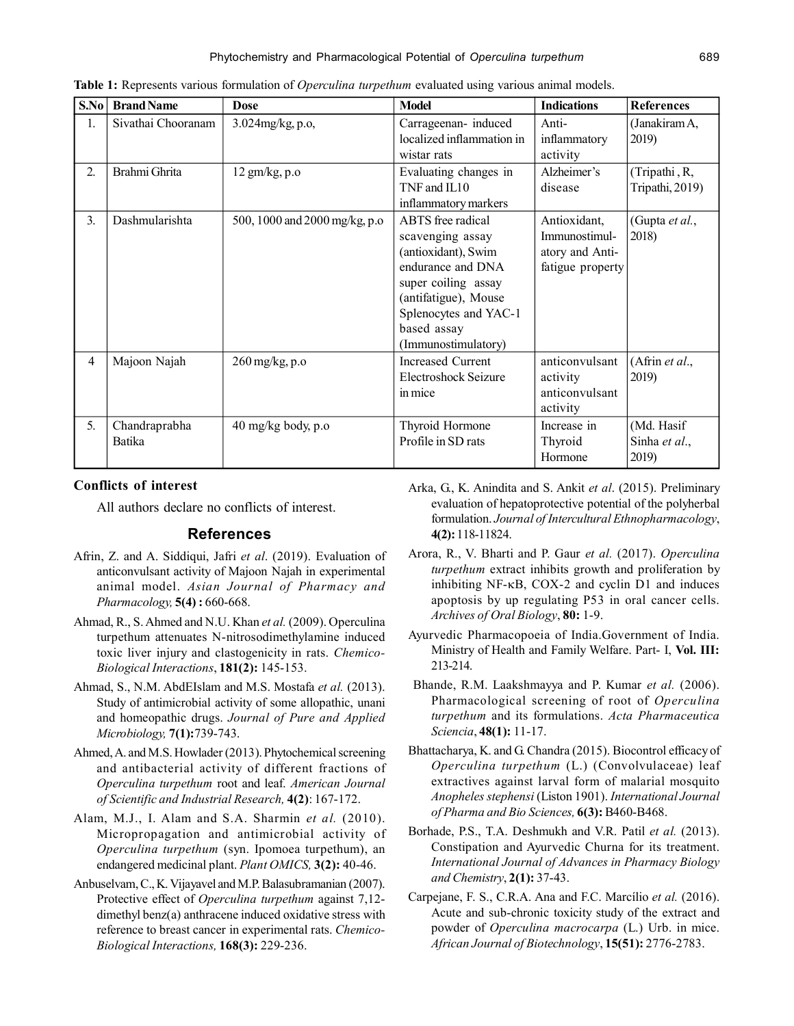| S.No | <b>Brand Name</b>       | <b>Dose</b>                    | <b>Model</b>                                                                                                                                                                                    | <b>Indications</b>                                                   | <b>References</b>                    |
|------|-------------------------|--------------------------------|-------------------------------------------------------------------------------------------------------------------------------------------------------------------------------------------------|----------------------------------------------------------------------|--------------------------------------|
| 1.   | Sivathai Chooranam      | 3.024mg/kg, p.o,               | Carrageenan-induced<br>localized inflammation in<br>wistar rats                                                                                                                                 | Anti-<br>inflammatory<br>activity                                    | (Janakiram A,<br>2019)               |
| 2.   | Brahmi Ghrita           | $12$ gm/kg, p.o                | Evaluating changes in<br>TNF and IL10<br>inflammatory markers                                                                                                                                   | Alzheimer's<br>disease                                               | (Tripathi, R,<br>Tripathi, 2019)     |
| 3.   | Dashmularishta          | 500, 1000 and 2000 mg/kg, p.o. | ABTS free radical<br>scavenging assay<br>(antioxidant), Swim<br>endurance and DNA<br>super coiling assay<br>(antifatigue), Mouse<br>Splenocytes and YAC-1<br>based assay<br>(Immunostimulatory) | Antioxidant,<br>Immunostimul-<br>atory and Anti-<br>fatigue property | (Gupta et al.,<br>2018)              |
| 4    | Majoon Najah            | 260 mg/kg, p.o                 | <b>Increased Current</b><br>Electroshock Seizure<br>in mice                                                                                                                                     | anticonvulsant<br>activity<br>anticonvulsant<br>activity             | (Afrin et al.,<br>2019)              |
| 5.   | Chandraprabha<br>Batika | $40 \text{ mg/kg}$ body, p.o.  | Thyroid Hormone<br>Profile in SD rats                                                                                                                                                           | Increase in<br>Thyroid<br>Hormone                                    | (Md. Hasif<br>Sinha et al.,<br>2019) |

**Table 1:** Represents various formulation of *Operculina turpethum* evaluated using various animal models.

## **Conflicts of interest**

All authors declare no conflicts of interest.

# **References**

- Afrin, Z. and A. Siddiqui, Jafri *et al*. (2019). Evaluation of anticonvulsant activity of Majoon Najah in experimental animal model. *Asian Journal of Pharmacy and Pharmacology,* **5(4) :** 660-668.
- Ahmad, R., S. Ahmed and N.U. Khan *et al.* (2009). Operculina turpethum attenuates N-nitrosodimethylamine induced toxic liver injury and clastogenicity in rats. *Chemico-Biological Interactions*, **181(2):** 145-153.
- Ahmad, S., N.M. AbdEIslam and M.S. Mostafa *et al.* (2013). Study of antimicrobial activity of some allopathic, unani and homeopathic drugs. *Journal of Pure and Applied Microbiology,* **7(1):**739-743.
- Ahmed, A. and M.S. Howlader (2013). Phytochemical screening and antibacterial activity of different fractions of *Operculina turpethum* root and leaf. *American Journal of Scientific and Industrial Research,* **4(2)**: 167-172.
- Alam, M.J., I. Alam and S.A. Sharmin *et al.* (2010). Micropropagation and antimicrobial activity of *Operculina turpethum* (syn. Ipomoea turpethum), an endangered medicinal plant. *Plant OMICS,* **3(2):** 40-46.
- Anbuselvam, C., K. Vijayavel and M.P. Balasubramanian (2007). Protective effect of *Operculina turpethum* against 7,12 dimethyl benz(a) anthracene induced oxidative stress with reference to breast cancer in experimental rats. *Chemico-Biological Interactions,* **168(3):** 229-236.
- Arka, G., K. Anindita and S. Ankit *et al*. (2015). Preliminary evaluation of hepatoprotective potential of the polyherbal formulation. *Journal of Intercultural Ethnopharmacology*, **4(2):** 118-11824.
- Arora, R., V. Bharti and P. Gaur *et al.* (2017). *Operculina turpethum* extract inhibits growth and proliferation by inhibiting  $NF-\kappa B$ , COX-2 and cyclin D1 and induces apoptosis by up regulating P53 in oral cancer cells. *Archives of Oral Biology*, **80:** 1-9.
- Ayurvedic Pharmacopoeia of India.Government of India. Ministry of Health and Family Welfare. Part- I, **Vol. III:** 213-214.
- Bhande, R.M. Laakshmayya and P. Kumar *et al.* (2006). Pharmacological screening of root of *Operculina turpethum* and its formulations. *Acta Pharmaceutica Sciencia*, **48(1):** 11-17.
- Bhattacharya, K. and G. Chandra (2015). Biocontrol efficacy of *Operculina turpethum* (L.) (Convolvulaceae) leaf extractives against larval form of malarial mosquito *Anopheles stephensi* (Liston 1901). *International Journal of Pharma and Bio Sciences,* **6(3):** B460-B468.
- Borhade, P.S., T.A. Deshmukh and V.R. Patil *et al.* (2013). Constipation and Ayurvedic Churna for its treatment. *International Journal of Advances in Pharmacy Biology and Chemistry*, **2(1):** 37-43.
- Carpejane, F. S., C.R.A. Ana and F.C. Marcílio *et al.* (2016). Acute and sub-chronic toxicity study of the extract and powder of *Operculina macrocarpa* (L.) Urb. in mice. *African Journal of Biotechnology*, **15(51):** 2776-2783.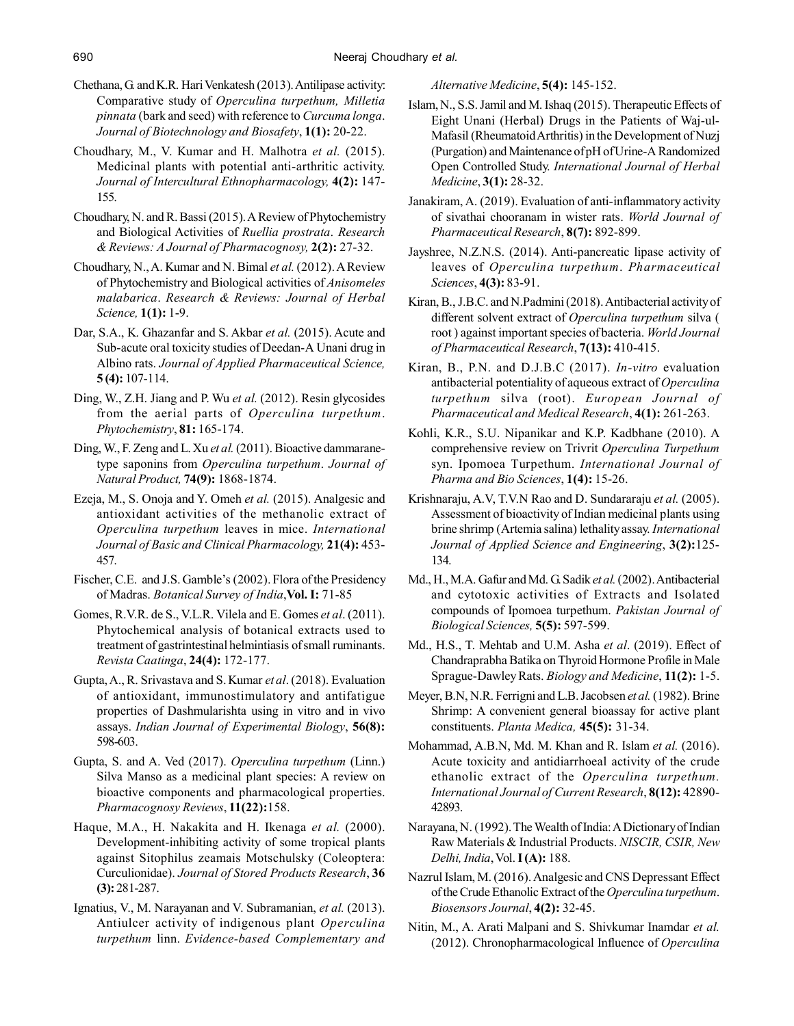- Chethana, G. and K.R. Hari Venkatesh (2013). Antilipase activity: Comparative study of *Operculina turpethum, Milletia pinnata* (bark and seed) with reference to *Curcuma longa*. *Journal of Biotechnology and Biosafety*, **1(1):** 20-22.
- Choudhary, M., V. Kumar and H. Malhotra *et al.* (2015). Medicinal plants with potential anti-arthritic activity. *Journal of Intercultural Ethnopharmacology,* **4(2):** 147- 155.
- Choudhary, N. and R. Bassi (2015). A Review of Phytochemistry and Biological Activities of *Ruellia prostrata*. *Research & Reviews: A Journal of Pharmacognosy,* **2(2):** 27-32.
- Choudhary, N., A. Kumar and N. Bimal *et al.* (2012). A Review of Phytochemistry and Biological activities of *Anisomeles malabarica*. *Research & Reviews: Journal of Herbal Science,* **1(1):** 1-9.
- Dar, S.A., K. Ghazanfar and S. Akbar *et al.* (2015). Acute and Sub-acute oral toxicity studies of Deedan-A Unani drug in Albino rats. *Journal of Applied Pharmaceutical Science,* **5 (4):** 107-114.
- Ding, W., Z.H. Jiang and P. Wu *et al.* (2012). Resin glycosides from the aerial parts of *Operculina turpethum*. *Phytochemistry*, **81:** 165-174.
- Ding, W., F. Zeng and L. Xu *et al.* (2011). Bioactive dammaranetype saponins from *Operculina turpethum*. *Journal of Natural Product,* **74(9):** 1868-1874.
- Ezeja, M., S. Onoja and Y. Omeh *et al.* (2015). Analgesic and antioxidant activities of the methanolic extract of *Operculina turpethum* leaves in mice. *International Journal of Basic and Clinical Pharmacology,* **21(4):** 453- 457.
- Fischer, C.E. and J.S. Gamble's (2002). Flora of the Presidency of Madras. *Botanical Survey of India*,**Vol. I:** 71-85
- Gomes, R.V.R. de S., V.L.R. Vilela and E. Gomes *et al*. (2011). Phytochemical analysis of botanical extracts used to treatment of gastrintestinal helmintiasis of small ruminants. *Revista Caatinga*, **24(4):** 172-177.
- Gupta, A., R. Srivastava and S. Kumar *et al*. (2018). Evaluation of antioxidant, immunostimulatory and antifatigue properties of Dashmularishta using in vitro and in vivo assays. *Indian Journal of Experimental Biology*, **56(8):** 598-603.
- Gupta, S. and A. Ved (2017). *Operculina turpethum* (Linn.) Silva Manso as a medicinal plant species: A review on bioactive components and pharmacological properties. *Pharmacognosy Reviews*, **11(22):**158.
- Haque, M.A., H. Nakakita and H. Ikenaga *et al.* (2000). Development-inhibiting activity of some tropical plants against Sitophilus zeamais Motschulsky (Coleoptera: Curculionidae). *Journal of Stored Products Research*, **36 (3):** 281-287.
- Ignatius, V., M. Narayanan and V. Subramanian, *et al.* (2013). Antiulcer activity of indigenous plant *Operculina turpethum* linn. *Evidence-based Complementary and*

*Alternative Medicine*, **5(4):** 145-152.

- Islam, N., S.S. Jamil and M. Ishaq (2015). Therapeutic Effects of Eight Unani (Herbal) Drugs in the Patients of Waj-ul-Mafasil (Rheumatoid Arthritis) in the Development of Nuzj (Purgation) and Maintenance of pH of Urine-A Randomized Open Controlled Study. *International Journal of Herbal Medicine*, **3(1):** 28-32.
- Janakiram, A. (2019). Evaluation of anti-inflammatory activity of sivathai chooranam in wister rats. *World Journal of Pharmaceutical Research*, **8(7):** 892-899.
- Jayshree, N.Z.N.S. (2014). Anti-pancreatic lipase activity of leaves of *Operculina turpethum*. *Pharmaceutical Sciences*, **4(3):** 83-91.
- Kiran, B., J.B.C. and N.Padmini (2018). Antibacterial activity of different solvent extract of *Operculina turpethum* silva ( root ) against important species of bacteria. *World Journal of Pharmaceutical Research*, **7(13):** 410-415.
- Kiran, B., P.N. and D.J.B.C (2017). *In-vitro* evaluation antibacterial potentiality of aqueous extract of *Operculina turpethum* silva (root). *European Journal of Pharmaceutical and Medical Research*, **4(1):** 261-263.
- Kohli, K.R., S.U. Nipanikar and K.P. Kadbhane (2010). A comprehensive review on Trivrit *Operculina Turpethum* syn. Ipomoea Turpethum. *International Journal of Pharma and Bio Sciences*, **1(4):** 15-26.
- Krishnaraju, A.V, T.V.N Rao and D. Sundararaju *et al.* (2005). Assessment of bioactivity of Indian medicinal plants using brine shrimp (Artemia salina) lethality assay. *International Journal of Applied Science and Engineering*, **3(2):**125- 134.
- Md., H., M.A. Gafur and Md. G. Sadik *et al.* (2002). Antibacterial and cytotoxic activities of Extracts and Isolated compounds of Ipomoea turpethum. *Pakistan Journal of Biological Sciences,* **5(5):** 597-599.
- Md., H.S., T. Mehtab and U.M. Asha *et al*. (2019). Effect of Chandraprabha Batika on Thyroid Hormone Profile in Male Sprague-Dawley Rats. *Biology and Medicine*, **11(2):** 1-5.
- Meyer, B.N, N.R. Ferrigni and L.B. Jacobsen *et al.* (1982). Brine Shrimp: A convenient general bioassay for active plant constituents. *Planta Medica,* **45(5):** 31-34.
- Mohammad, A.B.N, Md. M. Khan and R. Islam *et al.* (2016). Acute toxicity and antidiarrhoeal activity of the crude ethanolic extract of the *Operculina turpethum. International Journal of Current Research*, **8(12):** 42890- 42893.
- Narayana, N. (1992). The Wealth of India: A Dictionary of Indian Raw Materials & Industrial Products. *NISCIR, CSIR, New Delhi, India*, Vol. **I (A):** 188.
- Nazrul Islam, M. (2016). Analgesic and CNS Depressant Effect of the Crude Ethanolic Extract of the *Operculina turpethum*. *Biosensors Journal*, **4(2):** 32-45.
- Nitin, M., A. Arati Malpani and S. Shivkumar Inamdar *et al.* (2012). Chronopharmacological Influence of *Operculina*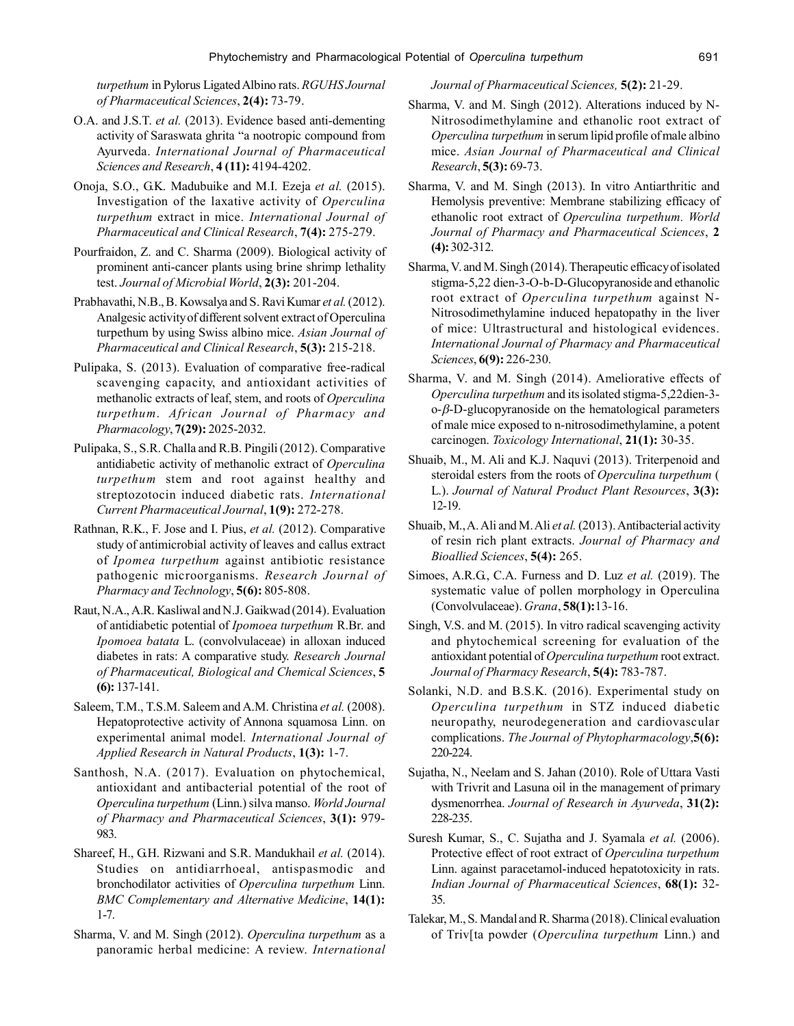*turpethum* in Pylorus Ligated Albino rats. *RGUHS Journal of Pharmaceutical Sciences*, **2(4):** 73-79.

- O.A. and J.S.T. *et al.* (2013). Evidence based anti-dementing activity of Saraswata ghrita "a nootropic compound from Ayurveda. *International Journal of Pharmaceutical Sciences and Research*, **4 (11):** 4194-4202.
- Onoja, S.O., G.K. Madubuike and M.I. Ezeja *et al.* (2015). Investigation of the laxative activity of *Operculina turpethum* extract in mice. *International Journal of Pharmaceutical and Clinical Research*, **7(4):** 275-279.
- Pourfraidon, Z. and C. Sharma (2009). Biological activity of prominent anti-cancer plants using brine shrimp lethality test. *Journal of Microbial World*, **2(3):** 201-204.
- Prabhavathi, N.B., B. Kowsalya and S. Ravi Kumar *et al.* (2012). Analgesic activity of different solvent extract of Operculina turpethum by using Swiss albino mice. *Asian Journal of Pharmaceutical and Clinical Research*, **5(3):** 215-218.
- Pulipaka, S. (2013). Evaluation of comparative free-radical scavenging capacity, and antioxidant activities of methanolic extracts of leaf, stem, and roots of *Operculina turpethum*. *African Journal of Pharmacy and Pharmacology*, **7(29):** 2025-2032.
- Pulipaka, S., S.R. Challa and R.B. Pingili (2012). Comparative antidiabetic activity of methanolic extract of *Operculina turpethum* stem and root against healthy and streptozotocin induced diabetic rats. *International Current Pharmaceutical Journal*, **1(9):** 272-278.
- Rathnan, R.K., F. Jose and I. Pius, *et al.* (2012). Comparative study of antimicrobial activity of leaves and callus extract of *Ipomea turpethum* against antibiotic resistance pathogenic microorganisms. *Research Journal of Pharmacy and Technology*, **5(6):** 805-808.
- Raut, N.A., A.R. Kasliwal and N.J. Gaikwad (2014). Evaluation of antidiabetic potential of *Ipomoea turpethum* R.Br. and *Ipomoea batata* L. (convolvulaceae) in alloxan induced diabetes in rats: A comparative study. *Research Journal of Pharmaceutical, Biological and Chemical Sciences*, **5 (6):** 137-141.
- Saleem, T.M., T.S.M. Saleem and A.M. Christina *et al.* (2008). Hepatoprotective activity of Annona squamosa Linn. on experimental animal model. *International Journal of Applied Research in Natural Products*, **1(3):** 1-7.
- Santhosh, N.A. (2017). Evaluation on phytochemical, antioxidant and antibacterial potential of the root of *Operculina turpethum* (Linn.) silva manso. *World Journal of Pharmacy and Pharmaceutical Sciences*, **3(1):** 979- 983.
- Shareef, H., G.H. Rizwani and S.R. Mandukhail *et al.* (2014). Studies on antidiarrhoeal, antispasmodic and bronchodilator activities of *Operculina turpethum* Linn. *BMC Complementary and Alternative Medicine*, **14(1):** 1-7.
- Sharma, V. and M. Singh (2012). *Operculina turpethum* as a panoramic herbal medicine: A review. *International*

*Journal of Pharmaceutical Sciences,* **5(2):** 21-29.

- Sharma, V. and M. Singh (2012). Alterations induced by N-Nitrosodimethylamine and ethanolic root extract of *Operculina turpethum* in serum lipid profile of male albino mice. *Asian Journal of Pharmaceutical and Clinical Research*, **5(3):** 69-73.
- Sharma, V. and M. Singh (2013). In vitro Antiarthritic and Hemolysis preventive: Membrane stabilizing efficacy of ethanolic root extract of *Operculina turpethum. World Journal of Pharmacy and Pharmaceutical Sciences*, **2 (4):** 302-312.
- Sharma, V. and M. Singh (2014). Therapeutic efficacy of isolated stigma-5,22 dien-3-O-b-D-Glucopyranoside and ethanolic root extract of *Operculina turpethum* against N-Nitrosodimethylamine induced hepatopathy in the liver of mice: Ultrastructural and histological evidences. *International Journal of Pharmacy and Pharmaceutical Sciences*, **6(9):** 226-230.
- Sharma, V. and M. Singh (2014). Ameliorative effects of *Operculina turpethum* and its isolated stigma-5,22dien-3  $o-\beta$ -D-glucopyranoside on the hematological parameters of male mice exposed to n-nitrosodimethylamine, a potent carcinogen. *Toxicology International*, **21(1):** 30-35.
- Shuaib, M., M. Ali and K.J. Naquvi (2013). Triterpenoid and steroidal esters from the roots of *Operculina turpethum* ( L.). *Journal of Natural Product Plant Resources*, **3(3):** 12-19.
- Shuaib, M., A. Ali and M. Ali *et al.* (2013). Antibacterial activity of resin rich plant extracts. *Journal of Pharmacy and Bioallied Sciences*, **5(4):** 265.
- Simoes, A.R.G., C.A. Furness and D. Luz *et al.* (2019). The systematic value of pollen morphology in Operculina (Convolvulaceae). *Grana*, **58(1):**13-16.
- Singh, V.S. and M. (2015). In vitro radical scavenging activity and phytochemical screening for evaluation of the antioxidant potential of *Operculina turpethum* root extract. *Journal of Pharmacy Research*, **5(4):** 783-787.
- Solanki, N.D. and B.S.K. (2016). Experimental study on *Operculina turpethum* in STZ induced diabetic neuropathy, neurodegeneration and cardiovascular complications. *The Journal of Phytopharmacology*,**5(6):** 220-224.
- Sujatha, N., Neelam and S. Jahan (2010). Role of Uttara Vasti with Trivrit and Lasuna oil in the management of primary dysmenorrhea. *Journal of Research in Ayurveda*, **31(2):** 228-235.
- Suresh Kumar, S., C. Sujatha and J. Syamala *et al.* (2006). Protective effect of root extract of *Operculina turpethum* Linn. against paracetamol-induced hepatotoxicity in rats. *Indian Journal of Pharmaceutical Sciences*, **68(1):** 32- 35.
- Talekar, M., S. Mandal and R. Sharma (2018). Clinical evaluation of Triv[ta powder (*Operculina turpethum* Linn.) and